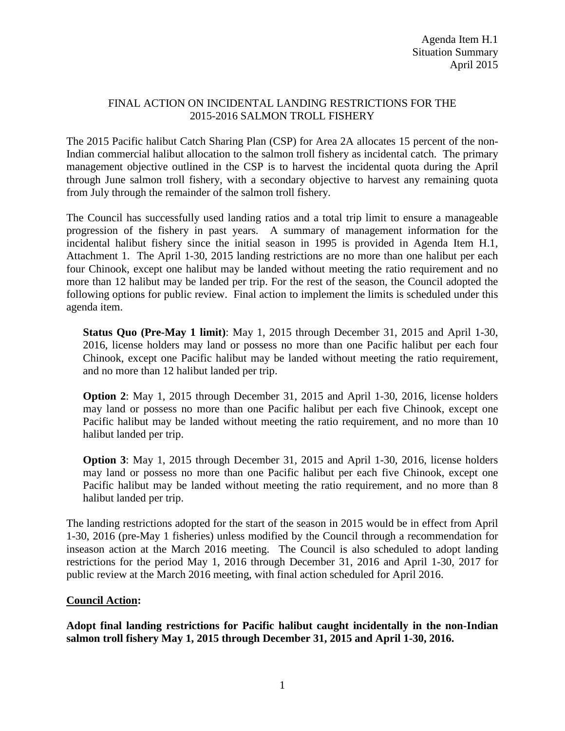## FINAL ACTION ON INCIDENTAL LANDING RESTRICTIONS FOR THE 2015-2016 SALMON TROLL FISHERY

The 2015 Pacific halibut Catch Sharing Plan (CSP) for Area 2A allocates 15 percent of the non-Indian commercial halibut allocation to the salmon troll fishery as incidental catch. The primary management objective outlined in the CSP is to harvest the incidental quota during the April through June salmon troll fishery, with a secondary objective to harvest any remaining quota from July through the remainder of the salmon troll fishery.

The Council has successfully used landing ratios and a total trip limit to ensure a manageable progression of the fishery in past years. A summary of management information for the incidental halibut fishery since the initial season in 1995 is provided in Agenda Item H.1, Attachment 1. The April 1-30, 2015 landing restrictions are no more than one halibut per each four Chinook, except one halibut may be landed without meeting the ratio requirement and no more than 12 halibut may be landed per trip. For the rest of the season, the Council adopted the following options for public review. Final action to implement the limits is scheduled under this agenda item.

**Status Quo (Pre-May 1 limit)**: May 1, 2015 through December 31, 2015 and April 1-30, 2016, license holders may land or possess no more than one Pacific halibut per each four Chinook, except one Pacific halibut may be landed without meeting the ratio requirement, and no more than 12 halibut landed per trip.

**Option 2**: May 1, 2015 through December 31, 2015 and April 1-30, 2016, license holders may land or possess no more than one Pacific halibut per each five Chinook, except one Pacific halibut may be landed without meeting the ratio requirement, and no more than 10 halibut landed per trip.

**Option 3**: May 1, 2015 through December 31, 2015 and April 1-30, 2016, license holders may land or possess no more than one Pacific halibut per each five Chinook, except one Pacific halibut may be landed without meeting the ratio requirement, and no more than 8 halibut landed per trip.

The landing restrictions adopted for the start of the season in 2015 would be in effect from April 1-30, 2016 (pre-May 1 fisheries) unless modified by the Council through a recommendation for inseason action at the March 2016 meeting. The Council is also scheduled to adopt landing restrictions for the period May 1, 2016 through December 31, 2016 and April 1-30, 2017 for public review at the March 2016 meeting, with final action scheduled for April 2016.

## **Council Action:**

**Adopt final landing restrictions for Pacific halibut caught incidentally in the non-Indian salmon troll fishery May 1, 2015 through December 31, 2015 and April 1-30, 2016.**